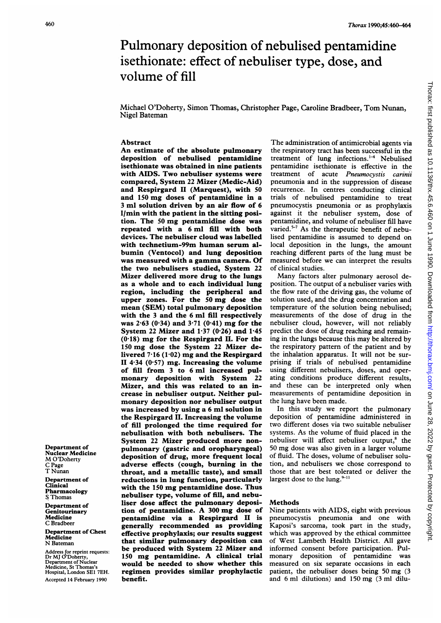# Pulmonary deposition of nebulised pentamidine isethionate: effect of nebuliser type, dose, and volume of fill

Michael O'Doherty, Simon Thomas, Christopher Page, Caroline Bradbeer, Tom Nunan, Nigel Bateman

#### Abstract

An estimate of the absolute pulmonary deposition of nebulised pentamidine isethionate was obtained in nine patients with AIDS. Two nebuliser systems were compared, System 22 Mizer (Medic-Aid) and Respirgard II (Marquest), with 50 and <sup>150</sup> mg doses of pentamidine in <sup>a</sup> <sup>3</sup> ml solution driven by an air flow of 6 l/min with the patient in the sitting position. The <sup>50</sup> mg pentamidine dose was repeated with a 6 ml fill with both devices. The nebuliser cloud was labelled with technetium-99m human serum albumin (Ventocol) and lung deposition was measured with <sup>a</sup> gamma camera. Of the two nebulisers studied, System 22 Mizer delivered more drug to the lungs as a whole and to each individual lung region, including the peripheral and upper zones. For the <sup>50</sup> mg dose the mean (SEM) total pulmonary deposition with the <sup>3</sup> and the 6 ml fill respectively was  $2.63$  (0.34) and  $3.71$  (0.41) mg for the System 22 Mizer and  $1.37$  (0.26) and  $1.45$  $(0.18)$  mg for the Respirgard II. For the <sup>150</sup> mg dose the System <sup>22</sup> Mizer delivered  $7.16(1.02)$  mg and the Respirgard II 4.34 (0.57) mg. Increasing the volume of fill from <sup>3</sup> to 6 ml increased pulmonary deposition with System 22 Mizer, and this was related to an increase in nebuliser output. Neither pulmonary deposition nor nebuliser output was increased by using a <sup>6</sup> ml solution in the Respirgard II. Increasing the volume of fill prolonged the time required for nebulisation with both nebulisers. The System 22 Mizer produced more nonpulmonary (gastric and oropharyngeal) deposition of drug, more frequent local adverse effects (cough, burning in the throat, and a metallic taste), and small reductions in lung function, particularly with the <sup>150</sup> mg pentamidine dose. Thus nebuliser type, volume of fill, and nebuliser dose affect the pulmonary deposition of pentamidine. A <sup>300</sup> mg dose of pentamidine via a Respirgard II is generally recommended as providing effective prophylaxis; our results suggest that similar pulmonary deposition can be produced with System 22 Mizer and <sup>150</sup> mg pentamidine. A clinical trial would be needed to show whether this regimen provides similar prophylactic benefit.

The administration of antimicrobial agents via the respiratory tract has been successful in the treatment of lung infections. $1-4$  Nebulised pentamidine isethionate is effective in the treatment of acute Pneumocystis carinii pneumonia and in the suppression of disease recurrence. In centres conducting clinical trials of nebulised pentamidine to treat pneumocystis pneumonia or as prophylaxis against it the nebuliser system, dose of pentamidine, and volume of nebuliser fill have varied. $5-7$  As the therapeutic benefit of nebulised pentamidine is assumed to depend on local deposition in the lungs, the amount reaching different parts of the lung must be measured before we can interpret the results of clinical studies.

Many factors alter pulmonary aerosol deposition. The output of a nebuliser varies with the flow rate of the driving gas, the volume of solution used, and the drug concentration and temperature of the solution being nebulised; measurements of the dose of drug in the nebuliser cloud, however, will not reliably predict the dose of drug reaching and remaining in the lungs because this may be altered by the respiratory pattern of the patient and by the inhalation apparatus. It will not be surprising if trials of nebulised pentamidine using different nebulisers, doses, and operating conditions produce different results, and these can be interpreted only when measurements of pentamidine deposition in the lung have been made.

In this study we report the pulmonary deposition of pentamidine administered in two different doses via two suitable nebuliser systems. As the volume of fluid placed in the nebuliser will affect nebuliser output,<sup>8</sup> the 50 mg dose was also given in <sup>a</sup> larger volume of fluid. The doses, volume of nebuliser solution, and nebulisers we chose correspond to those that are best tolerated or deliver the largest dose to the lung. $2^{+11}$ 

## Methods

Nine patients with AIDS, eight with previous pneumocystis pneumonia and one with Kaposi's sarcoma, took part in the study, which was approved by the ethical committee of West Lambeth Health District. All gave informed consent before participation. Pulmonary deposition of pentamidine was measured on six separate occasions in each patient, the nebuliser doses being 50 mg (3 and <sup>6</sup> ml dilutions) and 150 mg (3 ml dilu-

Department of Nuclear Medicine M <sup>O</sup>'Doherty C Page T Nunan Department of

Clinical Pharmacology S Thomas

Department of Genitourinary Medicine C Bradbeer

Department of Chest Medicine N Bateman

Address for reprint requests: Dr MJ O'Doherty, Department of Nuclear Medicine, St Thomas's Hospital, London SEI 7EH. Accepted 14 February 1990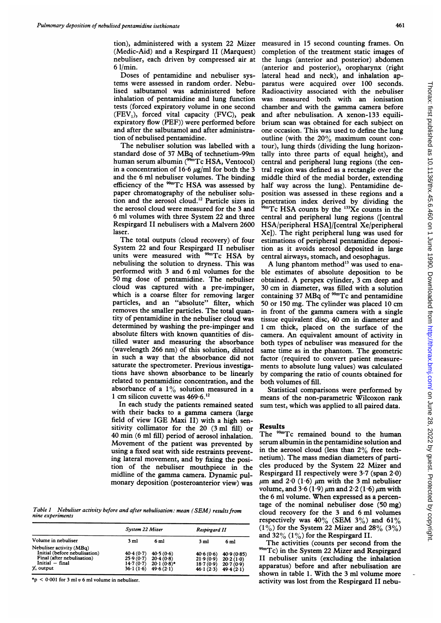tion), administered with a system 22 Mizer measured in <sup>15</sup> second counting frames. On (Medic-Aid) and a Respirgard II (Marquest) nebuliser, each driven by compressed air at 6 1/min.

Doses of pentamidine and nebuliser systems were assessed in random order. Nebulised salbutamol was administered before inhalation of pentamidine and lung function tests (forced expiratory volume in one second  $(FEV<sub>1</sub>)$ , forced vital capacity  $(FVC)$ , peak expiratory flow (PEF)) were performed before and after the salbutamol and after administration of nebulised pentamidine.

The nebuliser solution was labelled with a standard dose of <sup>37</sup> MBq of technetium-99m human serum albumin (<sup>99m</sup>Tc HSA, Ventocol) in a concentration of 16.6  $\mu$ g/ml for both the 3 and the 6 ml nebuliser volumes. The binding efficiency of the  $99m$ Tc HSA was assessed by paper chromatography of the nebuliser solution and the aerosol cloud.'2 Particle sizes in the aerosol cloud were measured for the 3 and 6 ml volumes with three System 22 and three Respirgard II nebulisers with a Malvern 2600 laser.

The total outputs (cloud recovery) of four System 22 and four Respirgard II nebuliser units were measured with <sup>99m</sup>Tc HSA by nebulising the solution to dryness. This was performed with 3 and 6 ml volumes for the 50 mg dose of pentamidine. The nebuliser cloud was captured with a pre-impinger, which is a coarse filter for removing larger particles, and an "absolute" filter, which removes the smaller particles. The total quantity of pentamidine in the nebuliser cloud was determined by washing the pre-impinger and absolute filters with known quantities of distilled water and measuring the absorbance (wavelength 266 nm) of this solution, diluted in such a way that the absorbance did not saturate the spectrometer. Previous investigations have shown absorbance to be linearly related to pentamidine concentration, and the absorbance of a  $1\%$  solution measured in a 1 cm silicon cuvette was  $469.6$ .<sup>12</sup>

In each study the patients remained seated with their backs to a gamma camera (large field of view IGE Maxi II) with <sup>a</sup> high sensitivity collimator for the 20 (3 ml fill) or 40 min (6 ml fill) period of aerosol inhalation. Movement of the patient was prevented by using a fixed seat with side restraints preventing lateral movement, and by fixing the position of the nebuliser mouthpiece in the midline of the gamma camera. Dynamic pulmonary deposition (posteroanterior view) was

Table 1 Nebuliser activity before and after nebulisation: mean (SEM) results from nine experiments

| Volume in nebuliser                                                                                        | System 22 Mizer        |                            | Respirgard II                  |                         |  |
|------------------------------------------------------------------------------------------------------------|------------------------|----------------------------|--------------------------------|-------------------------|--|
|                                                                                                            | 3 ml                   | 6 ml                       | 3 ml                           | 6 ml                    |  |
| Nebuliser activity (MBq)<br>Initial (before nebulisation)<br>Final (after nebulisation)<br>Initial - final | 40.4(0.7)<br>25.9(0.7) | 40.5(0.6)<br>20.4(0.8)     | 40.6(0.6)<br>21.9(0.9)         | 40.9(0.85)<br>20.2(1.0) |  |
| $\%$ output                                                                                                | 14.7(0.7)<br>36.1(1.6) | $20.1(0.8)$ *<br>49.6(2.1) | 18.7(0.9)<br>$46 \cdot 1(2.3)$ | 20.7(0.9)<br>49.4(2.1)  |  |

\*p < 0.001 for 3 ml v 6 ml volume in nebuliser.

completion of the treatment static images of the lungs (anterior and posterior) abdomen (anterior and posterior), oropharynx (right lateral head and neck), and inhalation apparatus were acquired over 100 seconds. Radioactivity associated with the nebuliser was measured both with an ionisation chamber and with the gamma camera before and after nebulisation. A xenon-133 equilibrium scan was obtained for each subject on one occasion. This was used to define the lung outline (with the  $20\%$  maximum count contour), lung thirds (dividing the lung horizontally into three parts of equal height), and central and peripheral lung regions (the central region was defined as a rectangle over the middle third of the medial border, extending half way across the lung). Pentamidine deposition was assessed in these regions and a penetration index derived by dividing the  $9m$ Tc HSA counts by the  $133$ Xe counts in the central and peripheral lung regions ([central HSA/peripheral HSA]/[central Xe/peripheral Xe]). The right peripheral lung was used for estimations of peripheral pentamidine deposition as it avoids aerosol deposited in large central airways, stomach, and oesophagus.

A lung phantom method<sup>13</sup> was used to enable estimates of absolute deposition to be obtained. A perspex cylinder, <sup>3</sup> cm deep and 30 cm in diameter, was filled with <sup>a</sup> solution containing 37 MBq of  $\alpha$ <sup>99m</sup>Tc and pentamidine 50 or 150 mg. The cylinder was placed 10 cm in front of the gamma camera with <sup>a</sup> single tissue equivalent disc, 40 cm in diameter and <sup>1</sup> cm thick, placed on the surface of the camera. An equivalent amount of activity in both types of nebuliser was measured for the same time as in the phantom. The geometric factor (required to convert patient measurements to absolute lung values) was calculated by comparing the ratio of counts obtained for both volumes of fill.

Statistical comparisons were performed by means of the non-parametric Wilcoxon rank sum test, which was applied to all paired data.

#### Results

The <sup>99m</sup>Tc remained bound to the human serum albumin in the pentamidine solution and in the aerosol cloud (less than 2% free technetium). The mass median diameters of particles produced by the System 22 Mizer and Respirgard II respectively were 3-7 (span 2-0)  $\mu$ m and 2.0 (1.6)  $\mu$ m with the 3 ml nebuliser volume, and  $3.6(1.9) \mu m$  and  $2.2(1.6) \mu m$  with the 6 ml volume. When expressed as <sup>a</sup> percentage of the nominal nebuliser dose (50 mg) cloud recovery for the 3 and 6 ml volumes respectively was  $40\%$  (SEM 3%) and 61%  $(1\%)$  for the System 22 Mizer and 28% (3%) and  $32\%$  (1%) for the Respirgard II.

The activities (counts per second from the <sup>99m</sup>Tc) in the System 22 Mizer and Respirgard II nebuliser units (excluding the inhalation apparatus) before and after nebulisation are shown in table 1. With the 3 ml volume more activity was lost from the Respirgard II nebu-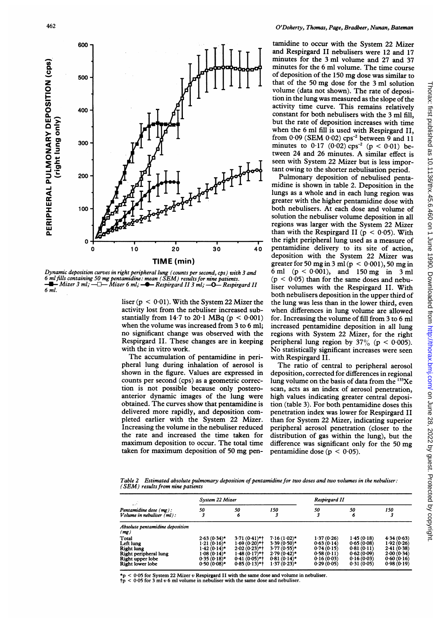

Dynamic deposition curves in right peripheral lung (counts per second, cps) with 3 an 6 mlfills containing 50 mg pentamidine: mean (SEM) results for nine patients. \*- Mizer <sup>3</sup> ml; -LI- Mizer <sup>6</sup> ml; -\*- Respirgard <sup>3</sup> ml; Respirgard <sup>1</sup> 6 ml.

liser ( $p < 0.01$ ). With the System 22 Mizer the activity lost from the nebuliser increased <sup>s</sup> stantially from 14.7 to 20.1 MBq ( $p < 0.001$ ) when the volume was increased from 3 to 6 ml; no significant change was observed with Respirgard II. These changes are in keeping with the in vitro work.

The accumulation of pentamidine in peripheral lung during inhalation of aerosol shown in the figure. Values are expressed in counts per second (cps) as a geometric correction is not possible because only poste anterior dynamic images of the lung w obtained. The curves show that pentamidin delivered more rapidly, and deposition completed earlier with the System 22 Mizer. Increasing the volume in the nebuliser redu the rate and increased the time taken for maximum deposition to occur. The total time taken for maximum deposition of 50 mg pen-

tamidine to occur with the System 22 Mizer and Respirgard II nebulisers were 12 and 17 minutes for the 3 ml volume and 27 and 37 minutes for the 6 ml volume. The time course of deposition of the <sup>150</sup> mg dose was similar to that of the 50 mg dose for the <sup>3</sup> ml solution volume (data not shown). The rate of deposition in the lung was measured as the slope of the activity time curve. This remains relatively constant for both nebulisers with the 3 ml fill, but the rate of deposition increases with time when the 6 ml fill is used with Respirgard II. from  $0.09$  (SEM  $0.02$ ) cps<sup>-2</sup> between 9 and 11 minutes to  $0.17$  (0.02) cps<sup>-2</sup> (p < 0.01) between <sup>24</sup> and <sup>26</sup> minutes. A similar effect is seen with System 22 Mizer but is less important owing to the shorter nebulisation period.

Pulmonary deposition of nebulised pentamidine is shown in table 2. Deposition in the lungs as a whole and in each lung region was greater with the higher pentamidine dose with both nebulisers. At each dose and volume of solution the nebuliser volume deposition in all regions was larger with the System 22 Mizer than with the Respirgard II ( $p < 0.05$ ). With the right peripheral lung used as a measure of 40 pentamidine delivery to its site of action, deposition with the System 22 Mizer was greater for 50 mg in 3 ml ( $p < 0.001$ ), 50 mg in 6 ml  $(p < 0.001)$ , and 150 mg in 3 ml  $(p < 0.05)$  than for the same doses and nebuliser volumes with the Respirgard II. With both nebulisers deposition in the upper third of the the lung was less than in the lower third, even when differences in lung volume are allowed for. Increasing the volume of fill from 3 to 6 ml increased pentamidine deposition in all lung regions with System 22 Mizer, for the right peripheral lung region by  $37\%$  (p < 0.005). No statistically significant increases were seen with Respirgard II.

The ratio of central to peripheral aerosol deposition, corrected for differences in regional lung volume on the basis of data from the  $133$ Xe scan, acts as an index of aerosol penetration, high values indicating greater central deposition (table 3). For both pentamidine doses this penetration index was lower for Respirgard II than for System 22 Mizer, indicating superior peripheral aerosol penetration (closer to the distribution of gas within the lung), but the difference was significant only for the 50 mg pentamidine dose (p  $\leq$  0.05).

Table 2 Estimated absolute pulmonary deposition of pentamidine for two doses and two volumes in the nebuliser:<br>(SEM) results from nine patients

| $\mathcal{L}(\mathcal{E})$<br>Pentamidine dose $(mg)$ :<br>Volume in nebuliser $(m!)$ : | System 22 Mizer |                 |                | Respirgard II |            |            |
|-----------------------------------------------------------------------------------------|-----------------|-----------------|----------------|---------------|------------|------------|
|                                                                                         | 50              | 50<br>6         | 150            | 50            | 50<br>6    | 150        |
| Absolute pentamidine deposition<br>(mg)                                                 |                 |                 |                |               |            |            |
| Total                                                                                   | $2.63(0.34)$ *  | $3.71(0.41)$ *† | $7.16(1.02)$ * | 1.37(0.26)    | 1.45(0.18) | 4.34(0.63) |
| Left lung                                                                               | $1.21(0.16)$ *  | $1.69(0.20)$ *† | $3.39(0.50)$ * | 0.63(0.14)    | 0.65(0.08) | 1.92(0.26) |
| <b>Right lung</b>                                                                       | $1.42(0.14)$ *  | $2.02(0.23)$ *† | $3.77(0.55)$ * | 0.74(0.15)    | 0.81(0.11) | 2.41(0.38) |
| Right peripheral lung                                                                   | $1.08(0.14)$ *  | $1.48(0.17)$ *† | $2.79(0.42)$ * | 0.58(0.11)    | 0.62(0.09) | 2.00(0.34) |
| Right upper lobe                                                                        | $0.35(0.18)$ *  | $0.41(0.05)$ *† | $0.81(0.14)$ * | 0.16(0.03)    | 0.16(0.03) | 0.60(0.16) |
| Right lower lobe                                                                        | $0.50(0.08)$ *  | $0.85(0.13)$ *† | $1.37(0.23)$ * | 0.29(0.05)    | 0.31(0.05) | 0.98(0.19) |

 on June 28, 2022 by guest. Protected by copyright. <http://thorax.bmj.com/> Thorax: first published as 10.1136/thx.45.6.460 on 1 June 1990. Downloaded from Thorax: first published as 10.1136/thx.45.6.460 on 1 June 1990. Downloaded from http://thorax.bmj.com/ on June 28, 2022 by guest. Protected by copyright

 $< 0.05$  for System 22 Mizer v Respirgard II with the same dose and volume in nebuliser.

 $< 0.05$  for 3 ml v 6 ml volume in nebuliser with the same dose and nebuliser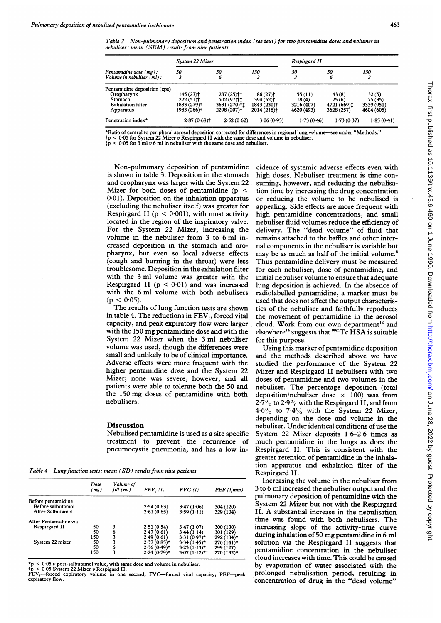Table 3 Non-pulmonary deposition and penetration index (see text) for two pentamidine doses and volumes in nebuliser: mean (SEM) results from nine patients

|                                                                                                | System 22 Mizer                                                   |                                                                      |                                                                                          | Respirgard II                               |                                             |                                             |
|------------------------------------------------------------------------------------------------|-------------------------------------------------------------------|----------------------------------------------------------------------|------------------------------------------------------------------------------------------|---------------------------------------------|---------------------------------------------|---------------------------------------------|
| Pentamidine dose (mg):<br>Volume in nebuliser $(m!)$ :                                         | 50                                                                | 50<br>6                                                              | 150                                                                                      | 50                                          | 50<br>6                                     | 150                                         |
| Pentamidine deposition (cps)<br>Oropharynx<br>Stomach<br><b>Exhalation filter</b><br>Apparatus | 145 (27)†<br>$222(51)$ <sup>+</sup><br>1883 (279)†<br>1983 (266)† | $237(25)$ <sup>+1</sup><br>502 (97)†1<br>3631 (270)†1<br>2298 (207)+ | $86(27)$ <sup>†</sup><br>394 (52)†<br>1843 (230) <sup>+</sup><br>2014 (218) <sup>+</sup> | 55(11)<br>18(4)<br>3216 (407)<br>4620 (493) | 43(8)<br>25(6)<br>4721 (669)1<br>3628 (257) | 32(5)<br>75(35)<br>3339 (951)<br>4604 (605) |
| Penetration index*                                                                             | $2.87(0.68)$ t                                                    | 2.52(0.62)                                                           | 3.06(0.93)                                                                               | 1.73(0.46)                                  | 1.73(0.37)                                  | 1.85(0.41)                                  |

\*Ratio of central to peripheral aerosol deposition corrected for differences in regional lung volume—see under "Methods."<br>†p < 0·05 for System 22 Mizer v Respirgard II with the same dose and volume in nebuliser.<br>‡p < 0·05

Non-pulmonary deposition of pentamidine is shown in table 3. Deposition in the stomach and oropharynx was larger with the System 22 Mizer for both doses of pentamidine ( $p \le$ 0-01). Deposition on the inhalation apparatus (excluding the nebuliser itself) was greater for Respirgard II ( $p < 0.001$ ), with most activity located in the region of the inspiratory valve. For the System 22 Mizer, increasing the volume in the nebuliser from 3 to 6 ml increased deposition in the stomach and oropharynx, but even so local adverse effects (cough and burning in the throat) were less troublesome. Deposition in the exhalation filter with the 3 ml volume was greater with the Respirgard II ( $p < 0.01$ ) and was increased with the 6 ml volume with both nebulisers  $(p < 0.05)$ .

The results of lung function tests are shown in table 4. The reductions in  $FEV<sub>1</sub>$ , forced vital capacity, and peak expiratory flow were larger with the <sup>150</sup> mg pentamidine dose and with the System 22 Mizer when the 3 ml nebuliser volume was used, though the differences were small and unlikely to be of clinical importance. Adverse effects were more frequent with the higher pentamidine dose and the System 22 Mizer; none was severe, however, and all patients were able to tolerate both the 50 and the 150 mg doses of pentamidine with both nebulisers.

## Discussion

Nebulised pentamidine is used as a site specific treatment to prevent the recurrence of pneumocystis pneumonia, and has a low in-

Table 4 Lung function tests: mean  $(SD)$  results from nine patients

|                       | Dose<br>(mg) | Volume of<br>$fill$ $(ml)$ | FEV, (1)       | $FVC$ (1)       | $PEF$ ( $l/min$ ) |
|-----------------------|--------------|----------------------------|----------------|-----------------|-------------------|
| Before pentamidine    |              |                            |                |                 |                   |
| Before salbutamol     |              |                            | 2.54(0.63)     | 3.47(1.06)      | 304 (120)         |
| After Salbutamol      |              |                            | 2.61(0.65)     | 3.59(1.11)      | 329 (104)         |
| After Pentamidine via |              |                            |                |                 |                   |
| Respirgard II         | 50           | 3                          | 2.51(0.54)     | 3.47(1.07)      | 300 (130)         |
|                       | 50           | 6                          | 2.47(0.61)     | 3.44(1.14)      | 301 (129)         |
|                       | 150          | 3                          | 2.49(0.61)     | $3.31(0.97)$ *  | 292 (134)*        |
| System 22 mizer       | 50           | 3                          | $2.37(0.85)$ * | $3.34(1.45)$ *  | $276(141)$ *      |
|                       | 50           | 6                          | $2.36(0.49)$ * | $3.23(1.13)$ *  | 299 (127)         |
|                       | 150          | 3                          | $2.24(0.79)$ * | $3.07(1.12)$ *† | 270 (132)*        |

 $< 0.05 v$  post-salbutamol value, with same dose and volume in nebuliser.

tp < 0 05 System 22 Mizer v Respigard II. FEV,-forced expiratory volume in one second; FVG-forced vital capacity; PEF-peak expiratory flow.

cidence of systemic adverse effects even with high doses. Nebuliser treatment is time consuming, however, and reducing the nebulisation time by increasing the drug concentration or reducing the volume to be nebulised is appealing. Side effects are more frequent with high pentamidine concentrations, and small nebuliser fluid volumes reduce the efficiency of delivery. The "dead volume" of fluid that remains attached to the baffles and other internal components in the nebuliser is variable but may be as much as half of the initial volume.<sup>8</sup> Thus pentamidine delivery must be measured for each nebuliser, dose of pentamidine, and initial nebuliser volume to ensure that adequate lung deposition is achieved. In the absence of radiolabelled pentamidine, a marker must be used that does not affect the output characteristics of the nebuliser and faithfully repoduces the movement of pentamidine in the aerosol cloud. Work from our own department<sup>12</sup> and elsewhere<sup>14</sup> suggests that  $^{99m}$ Tc HSA is suitable for this purpose.

Using this marker of pentamidine deposition and the methods described above we have studied the performance of the System 22 Mizer and Respirgard II nebulisers with two doses of pentamidine and two volumes in the nebuliser. The percentage deposition (total deposition/nebuliser dose  $\times$  100) was from  $2.7\%$  to  $2.9\%$  with the Respirgard II, and from  $4.6\%$  to  $7.4\%$  with the System 22 Mizer, depending on the dose and volume in the nebuliser. Under identical conditions of use the System 22 Mizer deposits  $1.6-2.6$  times as much pentamidine in the lungs as does the Respirgard II. This is consistent with the greater retention of pentamidine in the inhalation apparatus and exhalation filter of the Respirgard II.

Increasing the volume in the nebuliser from 3 to 6 ml increased the nebuliser output and the pulmonary deposition of pentamidine with the System 22 Mizer but not with the Respirgard II. A substantial increase in the nebulisation time was found with both nebulisers. The increasing slope of the activity-time curve during inhalation of 50 mg pentamidine in <sup>6</sup> ml solution via the Respirgard II suggests that pentamidine concentration in the nebuliser cloud increases with time. This could be caused by evaporation of water associated with the prolonged nebulisation period, resulting in concentration of drug in the "dead volume"